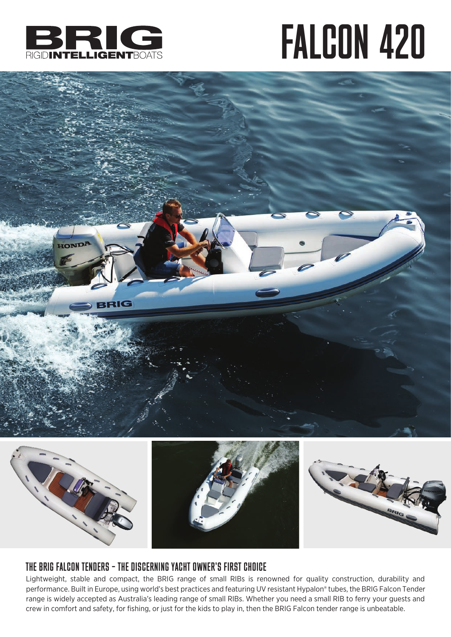

## FALCON 420





### THE BRIG FALCON TENDERS – THE DISCERNING YACHT OWNER'S FIRST CHOICE

Lightweight, stable and compact, the BRIG range of small RIBs is renowned for quality construction, durability and performance. Built in Europe, using world's best practices and featuring UV resistant Hypalon® tubes, the BRIG Falcon Tender range is widely accepted as Australia's leading range of small RIBs. Whether you need a small RIB to ferry your guests and crew in comfort and safety, for fishing, or just for the kids to play in, then the BRIG Falcon tender range is unbeatable.